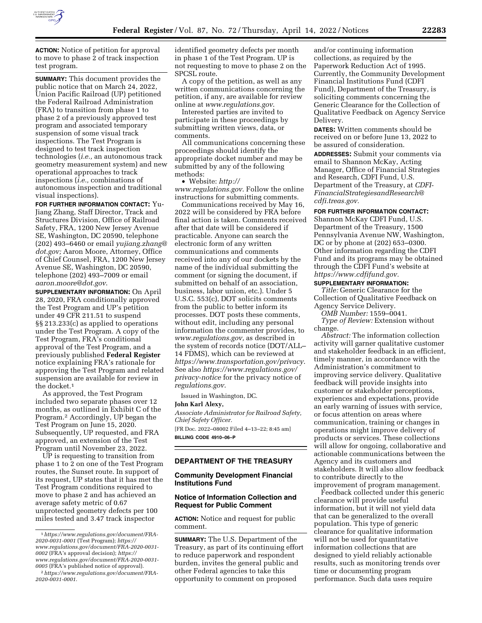

**ACTION:** Notice of petition for approval to move to phase 2 of track inspection test program.

**SUMMARY:** This document provides the public notice that on March 24, 2022, Union Pacific Railroad (UP) petitioned the Federal Railroad Administration (FRA) to transition from phase 1 to phase 2 of a previously approved test program and associated temporary suspension of some visual track inspections. The Test Program is designed to test track inspection technologies (*i.e.,* an autonomous track geometry measurement system) and new operational approaches to track inspections (*i.e.,* combinations of autonomous inspection and traditional visual inspections).

**FOR FURTHER INFORMATION CONTACT:** Yu-Jiang Zhang, Staff Director, Track and Structures Division, Office of Railroad Safety, FRA, 1200 New Jersey Avenue SE, Washington, DC 20590, telephone (202) 493–6460 or email *[yujiang.zhang@](mailto:yujiang.zhang@dot.gov) [dot.gov;](mailto:yujiang.zhang@dot.gov)* Aaron Moore, Attorney, Office of Chief Counsel, FRA, 1200 New Jersey Avenue SE, Washington, DC 20590, telephone (202) 493–7009 or email *[aaron.moore@dot.gov](mailto:aaron.moore@dot.gov)*.

**SUPPLEMENTARY INFORMATION:** On April 28, 2020, FRA conditionally approved the Test Program and UP's petition under 49 CFR 211.51 to suspend §§ 213.233(c) as applied to operations under the Test Program. A copy of the Test Program, FRA's conditional approval of the Test Program, and a previously published **Federal Register**  notice explaining FRA's rationale for approving the Test Program and related suspension are available for review in the docket.<sup>1</sup>

As approved, the Test Program included two separate phases over 12 months, as outlined in Exhibit C of the Program.2 Accordingly, UP began the Test Program on June 15, 2020. Subsequently, UP requested, and FRA approved, an extension of the Test Program until November 23, 2022.

UP is requesting to transition from phase 1 to 2 on one of the Test Program routes, the Sunset route. In support of its request, UP states that it has met the Test Program conditions required to move to phase 2 and has achieved an average safety metric of 0.67 unprotected geometry defects per 100 miles tested and 3.47 track inspector

identified geometry defects per month in phase 1 of the Test Program. UP is not requesting to move to phase 2 on the SPCSL route.

A copy of the petition, as well as any written communications concerning the petition, if any, are available for review online at *[www.regulations.gov](http://www.regulations.gov)*.

Interested parties are invited to participate in these proceedings by submitting written views, data, or comments.

All communications concerning these proceedings should identify the appropriate docket number and may be submitted by any of the following methods:

• Website: *[http://](http://www.regulations.gov)*

*[www.regulations.gov](http://www.regulations.gov)*. Follow the online instructions for submitting comments.

Communications received by May 16, 2022 will be considered by FRA before final action is taken. Comments received after that date will be considered if practicable. Anyone can search the electronic form of any written communications and comments received into any of our dockets by the name of the individual submitting the comment (or signing the document, if submitted on behalf of an association, business, labor union, etc.). Under 5 U.S.C. 553(c), DOT solicits comments from the public to better inform its processes. DOT posts these comments, without edit, including any personal information the commenter provides, to *[www.regulations.gov,](http://www.regulations.gov)* as described in the system of records notice (DOT/ALL– 14 FDMS), which can be reviewed at *<https://www.transportation.gov/privacy>*. See also *[https://www.regulations.gov/](https://www.regulations.gov/privacy-notice)  [privacy-notice](https://www.regulations.gov/privacy-notice)* for the privacy notice of *[regulations.gov](https://www.regulations.gov/privacy-notice)*.

Issued in Washington, DC.

#### **John Karl Alexy,**

*Associate Administrator for Railroad Safety, Chief Safety Officer.* 

[FR Doc. 2022–08002 Filed 4–13–22; 8:45 am] **BILLING CODE 4910–06–P** 

# **DEPARTMENT OF THE TREASURY**

# **Community Development Financial Institutions Fund**

## **Notice of Information Collection and Request for Public Comment**

**ACTION:** Notice and request for public comment.

**SUMMARY:** The U.S. Department of the Treasury, as part of its continuing effort to reduce paperwork and respondent burden, invites the general public and other Federal agencies to take this opportunity to comment on proposed

and/or continuing information collections, as required by the Paperwork Reduction Act of 1995. Currently, the Community Development Financial Institutions Fund (CDFI Fund), Department of the Treasury, is soliciting comments concerning the Generic Clearance for the Collection of Qualitative Feedback on Agency Service Delivery.

**DATES:** Written comments should be received on or before June 13, 2022 to be assured of consideration.

**ADDRESSES:** Submit your comments via email to Shannon McKay, Acting Manager, Office of Financial Strategies and Research, CDFI Fund, U.S. Department of the Treasury, at *[CDFI-](mailto:CDFI-FinancialStrategiesandResearch@cdfi.treas.gov)[FinancialStrategiesandResearch@](mailto:CDFI-FinancialStrategiesandResearch@cdfi.treas.gov) [cdfi.treas.gov.](mailto:CDFI-FinancialStrategiesandResearch@cdfi.treas.gov)* 

## **FOR FURTHER INFORMATION CONTACT:**

Shannon McKay CDFI Fund, U.S. Department of the Treasury, 1500 Pennsylvania Avenue NW, Washington, DC or by phone at (202) 653–0300. Other information regarding the CDFI Fund and its programs may be obtained through the CDFI Fund's website at *[https://www.cdfifund.gov.](https://www.cdfifund.gov)* 

# **SUPPLEMENTARY INFORMATION:**

*Title:* Generic Clearance for the Collection of Qualitative Feedback on Agency Service Delivery.

*OMB Number:* 1559–0041.

*Type of Review:* Extension without change.

*Abstract:* The information collection activity will garner qualitative customer and stakeholder feedback in an efficient, timely manner, in accordance with the Administration's commitment to improving service delivery. Qualitative feedback will provide insights into customer or stakeholder perceptions, experiences and expectations, provide an early warning of issues with service, or focus attention on areas where communication, training or changes in operations might improve delivery of products or services. These collections will allow for ongoing, collaborative and actionable communications between the Agency and its customers and stakeholders. It will also allow feedback to contribute directly to the improvement of program management.

Feedback collected under this generic clearance will provide useful information, but it will not yield data that can be generalized to the overall population. This type of generic clearance for qualitative information will not be used for quantitative information collections that are designed to yield reliably actionable results, such as monitoring trends over time or documenting program performance. Such data uses require

<sup>1</sup>*[https://www.regulations.gov/document/FRA-](https://www.regulations.gov/document/FRA-2020-0031-0001)[2020-0031-0001](https://www.regulations.gov/document/FRA-2020-0031-0001)* (Test Program); *[https://](https://www.regulations.gov/document/FRA-2020-0031-0002) [www.regulations.gov/document/FRA-2020-0031-](https://www.regulations.gov/document/FRA-2020-0031-0002)  [0002](https://www.regulations.gov/document/FRA-2020-0031-0002)* (FRA's approval decision); *[https://](https://www.regulations.gov/document/FRA-2020-0031-0005) [www.regulations.gov/document/FRA-2020-0031-](https://www.regulations.gov/document/FRA-2020-0031-0005)  [0005](https://www.regulations.gov/document/FRA-2020-0031-0005)* (FRA's published notice of approval).

<sup>2</sup>*[https://www.regulations.gov/document/FRA-](https://www.regulations.gov/document/FRA-2020-0031-0001)[2020-0031-0001](https://www.regulations.gov/document/FRA-2020-0031-0001)*.